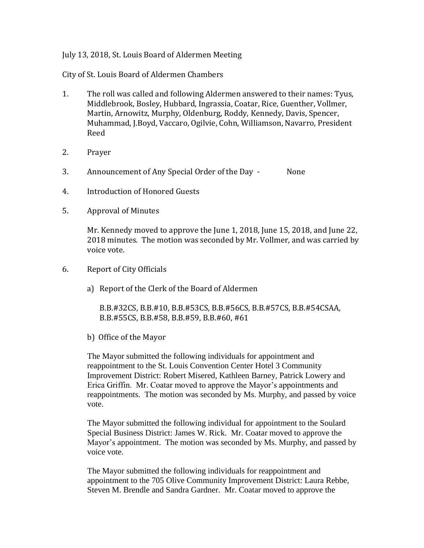## July 13, 2018, St. Louis Board of Aldermen Meeting

City of St. Louis Board of Aldermen Chambers

- 1. The roll was called and following Aldermen answered to their names: Tyus, Middlebrook, Bosley, Hubbard, Ingrassia, Coatar, Rice, Guenther, Vollmer, Martin, Arnowitz, Murphy, Oldenburg, Roddy, Kennedy, Davis, Spencer, Muhammad, J.Boyd, Vaccaro, Ogilvie, Cohn, Williamson, Navarro, President Reed
- 2. Prayer
- 3. Announcement of Any Special Order of the Day None
- 4. Introduction of Honored Guests
- 5. Approval of Minutes

Mr. Kennedy moved to approve the June 1, 2018, June 15, 2018, and June 22, 2018 minutes. The motion was seconded by Mr. Vollmer, and was carried by voice vote.

- 6. Report of City Officials
	- a) Report of the Clerk of the Board of Aldermen

B.B.#32CS, B.B.#10, B.B.#53CS, B.B.#56CS, B.B.#57CS, B.B.#54CSAA, B.B.#55CS, B.B.#58, B.B.#59, B.B.#60, #61

b) Office of the Mayor

The Mayor submitted the following individuals for appointment and reappointment to the St. Louis Convention Center Hotel 3 Community Improvement District: Robert Misered, Kathleen Barney, Patrick Lowery and Erica Griffin. Mr. Coatar moved to approve the Mayor's appointments and reappointments. The motion was seconded by Ms. Murphy, and passed by voice vote.

The Mayor submitted the following individual for appointment to the Soulard Special Business District: James W. Rick. Mr. Coatar moved to approve the Mayor's appointment. The motion was seconded by Ms. Murphy, and passed by voice vote.

The Mayor submitted the following individuals for reappointment and appointment to the 705 Olive Community Improvement District: Laura Rebbe, Steven M. Brendle and Sandra Gardner. Mr. Coatar moved to approve the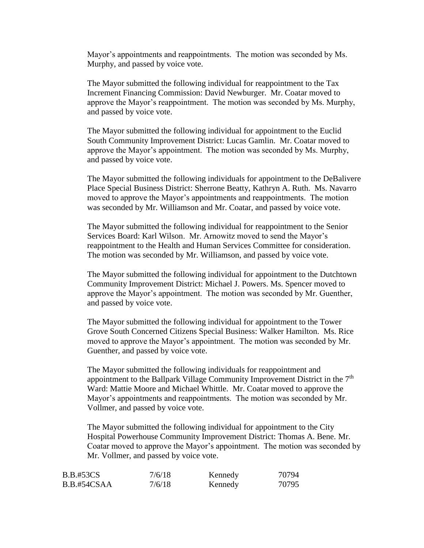Mayor's appointments and reappointments. The motion was seconded by Ms. Murphy, and passed by voice vote.

The Mayor submitted the following individual for reappointment to the Tax Increment Financing Commission: David Newburger. Mr. Coatar moved to approve the Mayor's reappointment. The motion was seconded by Ms. Murphy, and passed by voice vote.

The Mayor submitted the following individual for appointment to the Euclid South Community Improvement District: Lucas Gamlin. Mr. Coatar moved to approve the Mayor's appointment. The motion was seconded by Ms. Murphy, and passed by voice vote.

The Mayor submitted the following individuals for appointment to the DeBalivere Place Special Business District: Sherrone Beatty, Kathryn A. Ruth. Ms. Navarro moved to approve the Mayor's appointments and reappointments. The motion was seconded by Mr. Williamson and Mr. Coatar, and passed by voice vote.

The Mayor submitted the following individual for reappointment to the Senior Services Board: Karl Wilson. Mr. Arnowitz moved to send the Mayor's reappointment to the Health and Human Services Committee for consideration. The motion was seconded by Mr. Williamson, and passed by voice vote.

The Mayor submitted the following individual for appointment to the Dutchtown Community Improvement District: Michael J. Powers. Ms. Spencer moved to approve the Mayor's appointment. The motion was seconded by Mr. Guenther, and passed by voice vote.

The Mayor submitted the following individual for appointment to the Tower Grove South Concerned Citizens Special Business: Walker Hamilton. Ms. Rice moved to approve the Mayor's appointment. The motion was seconded by Mr. Guenther, and passed by voice vote.

The Mayor submitted the following individuals for reappointment and appointment to the Ballpark Village Community Improvement District in the  $7<sup>th</sup>$ Ward: Mattie Moore and Michael Whittle. Mr. Coatar moved to approve the Mayor's appointments and reappointments. The motion was seconded by Mr. Vollmer, and passed by voice vote.

The Mayor submitted the following individual for appointment to the City Hospital Powerhouse Community Improvement District: Thomas A. Bene. Mr. Coatar moved to approve the Mayor's appointment. The motion was seconded by Mr. Vollmer, and passed by voice vote.

| <b>B.B.#53CS</b> | 7/6/18 | Kennedy | 70794 |
|------------------|--------|---------|-------|
| B.B.#54CSAA      | 7/6/18 | Kennedy | 70795 |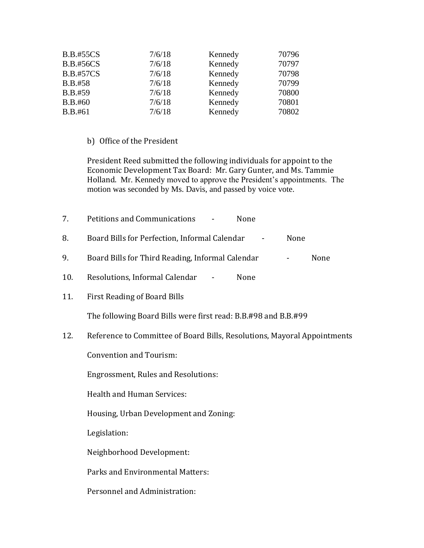| <b>B.B.#55CS</b> | 7/6/18 | Kennedy | 70796 |
|------------------|--------|---------|-------|
| <b>B.B.#56CS</b> | 7/6/18 | Kennedy | 70797 |
| <b>B.B.#57CS</b> | 7/6/18 | Kennedy | 70798 |
| <b>B.B.#58</b>   | 7/6/18 | Kennedy | 70799 |
| B.B.#59          | 7/6/18 | Kennedy | 70800 |
| B.B.#60          | 7/6/18 | Kennedy | 70801 |
| B.B.#61          | 7/6/18 | Kennedy | 70802 |
|                  |        |         |       |

## b) Office of the President

President Reed submitted the following individuals for appoint to the Economic Development Tax Board: Mr. Gary Gunter, and Ms. Tammie Holland. Mr. Kennedy moved to approve the President's appointments. The motion was seconded by Ms. Davis, and passed by voice vote.

| 7.  | Petitions and Communications<br>None                                     |      |      |
|-----|--------------------------------------------------------------------------|------|------|
| 8.  | Board Bills for Perfection, Informal Calendar                            | None |      |
| 9.  | Board Bills for Third Reading, Informal Calendar                         |      | None |
| 10. | Resolutions, Informal Calendar<br>None                                   |      |      |
| 11. | First Reading of Board Bills                                             |      |      |
|     | The following Board Bills were first read: B.B.#98 and B.B.#99           |      |      |
| 12. | Reference to Committee of Board Bills, Resolutions, Mayoral Appointments |      |      |
|     | <b>Convention and Tourism:</b>                                           |      |      |
|     | <b>Engrossment, Rules and Resolutions:</b>                               |      |      |
|     | <b>Health and Human Services:</b>                                        |      |      |
|     | Housing, Urban Development and Zoning:                                   |      |      |
|     |                                                                          |      |      |

Legislation:

Neighborhood Development:

Parks and Environmental Matters:

Personnel and Administration: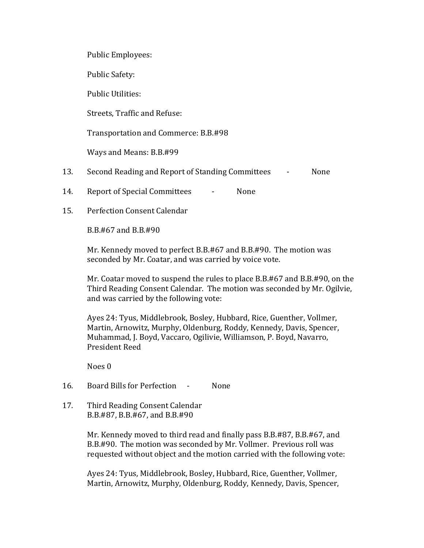Public Employees:

Public Safety:

Public Utilities:

Streets, Traffic and Refuse:

Transportation and Commerce: B.B.#98

Ways and Means: B.B.#99

- 13. Second Reading and Report of Standing Committees None
- 14. Report of Special Committees None
- 15. Perfection Consent Calendar

B.B.#67 and B.B.#90

Mr. Kennedy moved to perfect B.B.#67 and B.B.#90. The motion was seconded by Mr. Coatar, and was carried by voice vote.

Mr. Coatar moved to suspend the rules to place B.B.#67 and B.B.#90, on the Third Reading Consent Calendar. The motion was seconded by Mr. Ogilvie, and was carried by the following vote:

Ayes 24: Tyus, Middlebrook, Bosley, Hubbard, Rice, Guenther, Vollmer, Martin, Arnowitz, Murphy, Oldenburg, Roddy, Kennedy, Davis, Spencer, Muhammad, J. Boyd, Vaccaro, Ogilivie, Williamson, P. Boyd, Navarro, President Reed

Noes 0

16. Board Bills for Perfection - None

17. Third Reading Consent Calendar B.B.#87, B.B.#67, and B.B.#90

> Mr. Kennedy moved to third read and finally pass B.B.#87, B.B.#67, and B.B.#90. The motion was seconded by Mr. Vollmer. Previous roll was requested without object and the motion carried with the following vote:

Ayes 24: Tyus, Middlebrook, Bosley, Hubbard, Rice, Guenther, Vollmer, Martin, Arnowitz, Murphy, Oldenburg, Roddy, Kennedy, Davis, Spencer,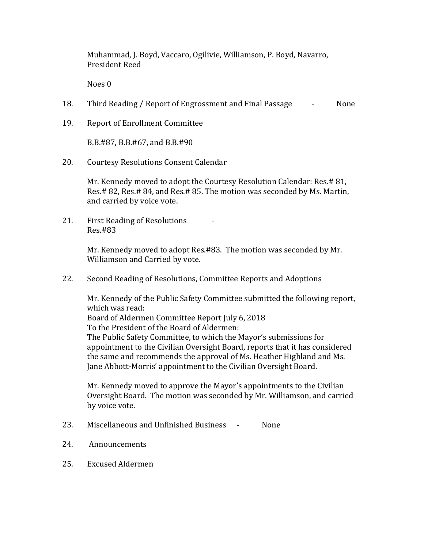Muhammad, J. Boyd, Vaccaro, Ogilivie, Williamson, P. Boyd, Navarro, President Reed

Noes 0

- 18. Third Reading / Report of Engrossment and Final Passage None
- 19. Report of Enrollment Committee

B.B.#87, B.B.#67, and B.B.#90

20. Courtesy Resolutions Consent Calendar

Mr. Kennedy moved to adopt the Courtesy Resolution Calendar: Res.# 81, Res.# 82, Res.# 84, and Res.# 85. The motion was seconded by Ms. Martin, and carried by voice vote.

21. First Reading of Resolutions - Res.#83

> Mr. Kennedy moved to adopt Res.#83. The motion was seconded by Mr. Williamson and Carried by vote.

22. Second Reading of Resolutions, Committee Reports and Adoptions

Mr. Kennedy of the Public Safety Committee submitted the following report, which was read: Board of Aldermen Committee Report July 6, 2018 To the President of the Board of Aldermen: The Public Safety Committee, to which the Mayor's submissions for appointment to the Civilian Oversight Board, reports that it has considered the same and recommends the approval of Ms. Heather Highland and Ms. Jane Abbott-Morris' appointment to the Civilian Oversight Board.

Mr. Kennedy moved to approve the Mayor's appointments to the Civilian Oversight Board. The motion was seconded by Mr. Williamson, and carried by voice vote.

- 23. Miscellaneous and Unfinished Business None
- 24. Announcements
- 25. Excused Aldermen